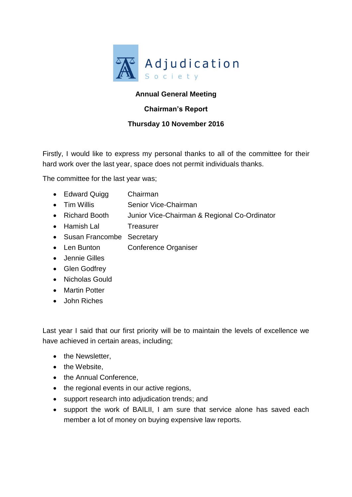

## **Annual General Meeting**

## **Chairman's Report**

## **Thursday 10 November 2016**

Firstly, I would like to express my personal thanks to all of the committee for their hard work over the last year, space does not permit individuals thanks.

The committee for the last year was;

- Edward Quigg Chairman
- Tim Willis Senior Vice-Chairman
- Richard Booth Junior Vice-Chairman & Regional Co-Ordinator
- Hamish Lal Treasurer
- Susan Francombe Secretary
- Len Bunton Conference Organiser
- Jennie Gilles
- Glen Godfrey
- Nicholas Gould
- Martin Potter
- John Riches

Last year I said that our first priority will be to maintain the levels of excellence we have achieved in certain areas, including;

- the Newsletter,
- the Website.
- the Annual Conference,
- the regional events in our active regions,
- support research into adjudication trends; and
- support the work of BAILII, I am sure that service alone has saved each member a lot of money on buying expensive law reports.